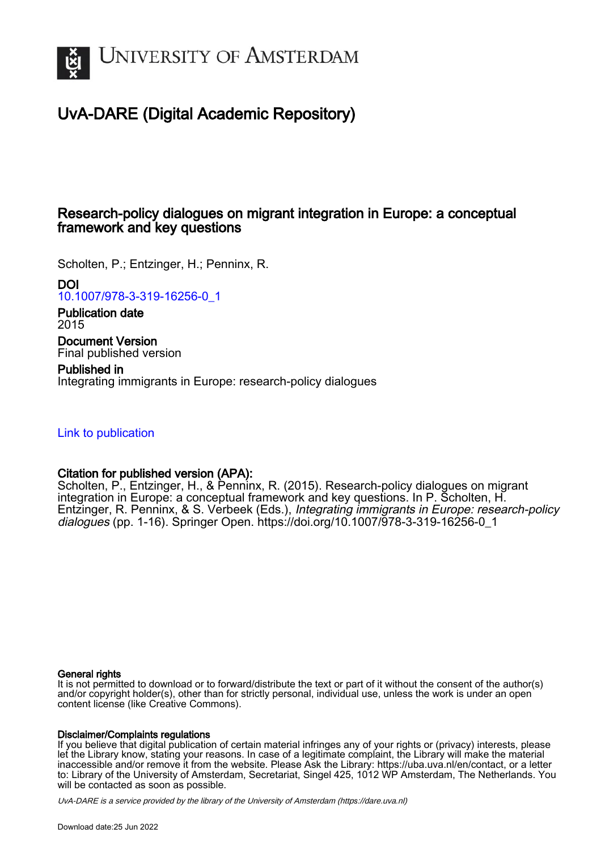

# UvA-DARE (Digital Academic Repository)

# Research-policy dialogues on migrant integration in Europe: a conceptual framework and key questions

Scholten, P.; Entzinger, H.; Penninx, R.

## DOI

[10.1007/978-3-319-16256-0\\_1](https://doi.org/10.1007/978-3-319-16256-0_1)

Publication date 2015

Document Version Final published version

Published in Integrating immigrants in Europe: research-policy dialogues

[Link to publication](https://dare.uva.nl/personal/pure/en/publications/researchpolicy-dialogues-on-migrant-integration-in-europe-a-conceptual-framework-and-key-questions(efb1397c-824b-418f-9e1e-f8971915e62b).html)

## Citation for published version (APA):

Scholten, P., Entzinger, H., & Penninx, R. (2015). Research-policy dialogues on migrant integration in Europe: a conceptual framework and key questions. In P. Scholten, H. Entzinger, R. Penninx, & S. Verbeek (Eds.), Integrating immigrants in Europe: research-policy dialogues (pp. 1-16). Springer Open. [https://doi.org/10.1007/978-3-319-16256-0\\_1](https://doi.org/10.1007/978-3-319-16256-0_1)

#### General rights

It is not permitted to download or to forward/distribute the text or part of it without the consent of the author(s) and/or copyright holder(s), other than for strictly personal, individual use, unless the work is under an open content license (like Creative Commons).

#### Disclaimer/Complaints regulations

If you believe that digital publication of certain material infringes any of your rights or (privacy) interests, please let the Library know, stating your reasons. In case of a legitimate complaint, the Library will make the material inaccessible and/or remove it from the website. Please Ask the Library: https://uba.uva.nl/en/contact, or a letter to: Library of the University of Amsterdam, Secretariat, Singel 425, 1012 WP Amsterdam, The Netherlands. You will be contacted as soon as possible.

UvA-DARE is a service provided by the library of the University of Amsterdam (http*s*://dare.uva.nl)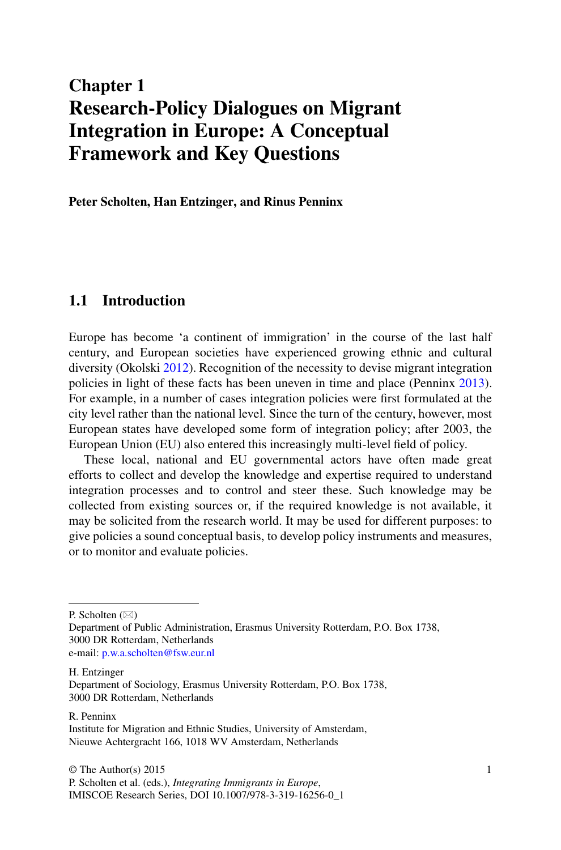# **Chapter 1 Research-Policy Dialogues on Migrant Integration in Europe: A Conceptual Framework and Key Questions**

**Peter Scholten, Han Entzinger, and Rinus Penninx**

### **1.1 Introduction**

Europe has become 'a continent of immigration' in the course of the last half century, and European societies have experienced growing ethnic and cultural diversity (Okolski [2012\)](#page-16-0). Recognition of the necessity to devise migrant integration policies in light of these facts has been uneven in time and place (Penninx [2013\)](#page-16-1). For example, in a number of cases integration policies were first formulated at the city level rather than the national level. Since the turn of the century, however, most European states have developed some form of integration policy; after 2003, the European Union (EU) also entered this increasingly multi-level field of policy.

These local, national and EU governmental actors have often made great efforts to collect and develop the knowledge and expertise required to understand integration processes and to control and steer these. Such knowledge may be collected from existing sources or, if the required knowledge is not available, it may be solicited from the research world. It may be used for different purposes: to give policies a sound conceptual basis, to develop policy instruments and measures, or to monitor and evaluate policies.

P. Scholten  $(\boxtimes)$ 

Department of Public Administration, Erasmus University Rotterdam, P.O. Box 1738, 3000 DR Rotterdam, Netherlands e-mail: [p.w.a.scholten@fsw.eur.nl](mailto:p.w.a.scholten@fsw.eur.nl)

H. Entzinger

#### R. Penninx Institute for Migration and Ethnic Studies, University of Amsterdam, Nieuwe Achtergracht 166, 1018 WV Amsterdam, Netherlands

Department of Sociology, Erasmus University Rotterdam, P.O. Box 1738, 3000 DR Rotterdam, Netherlands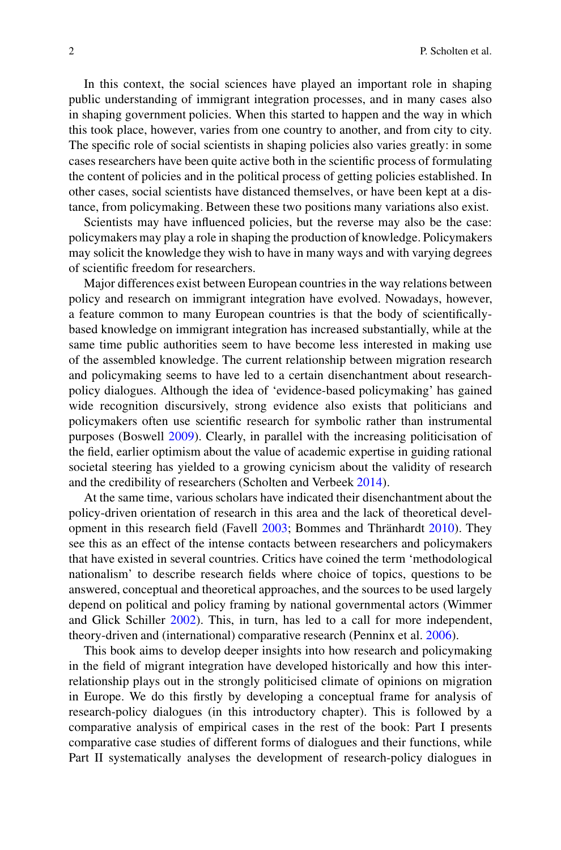In this context, the social sciences have played an important role in shaping public understanding of immigrant integration processes, and in many cases also in shaping government policies. When this started to happen and the way in which this took place, however, varies from one country to another, and from city to city. The specific role of social scientists in shaping policies also varies greatly: in some cases researchers have been quite active both in the scientific process of formulating the content of policies and in the political process of getting policies established. In other cases, social scientists have distanced themselves, or have been kept at a distance, from policymaking. Between these two positions many variations also exist.

Scientists may have influenced policies, but the reverse may also be the case: policymakers may play a role in shaping the production of knowledge. Policymakers may solicit the knowledge they wish to have in many ways and with varying degrees of scientific freedom for researchers.

Major differences exist between European countries in the way relations between policy and research on immigrant integration have evolved. Nowadays, however, a feature common to many European countries is that the body of scientificallybased knowledge on immigrant integration has increased substantially, while at the same time public authorities seem to have become less interested in making use of the assembled knowledge. The current relationship between migration research and policymaking seems to have led to a certain disenchantment about researchpolicy dialogues. Although the idea of 'evidence-based policymaking' has gained wide recognition discursively, strong evidence also exists that politicians and policymakers often use scientific research for symbolic rather than instrumental purposes (Boswell [2009\)](#page-15-0). Clearly, in parallel with the increasing politicisation of the field, earlier optimism about the value of academic expertise in guiding rational societal steering has yielded to a growing cynicism about the validity of research and the credibility of researchers (Scholten and Verbeek [2014\)](#page-16-2).

At the same time, various scholars have indicated their disenchantment about the policy-driven orientation of research in this area and the lack of theoretical development in this research field (Favell [2003;](#page-15-1) Bommes and Thränhardt [2010\)](#page-15-2). They see this as an effect of the intense contacts between researchers and policymakers that have existed in several countries. Critics have coined the term 'methodological nationalism' to describe research fields where choice of topics, questions to be answered, conceptual and theoretical approaches, and the sources to be used largely depend on political and policy framing by national governmental actors (Wimmer and Glick Schiller [2002\)](#page-16-3). This, in turn, has led to a call for more independent, theory-driven and (international) comparative research (Penninx et al. [2006\)](#page-16-4).

This book aims to develop deeper insights into how research and policymaking in the field of migrant integration have developed historically and how this interrelationship plays out in the strongly politicised climate of opinions on migration in Europe. We do this firstly by developing a conceptual frame for analysis of research-policy dialogues (in this introductory chapter). This is followed by a comparative analysis of empirical cases in the rest of the book: Part I presents comparative case studies of different forms of dialogues and their functions, while Part II systematically analyses the development of research-policy dialogues in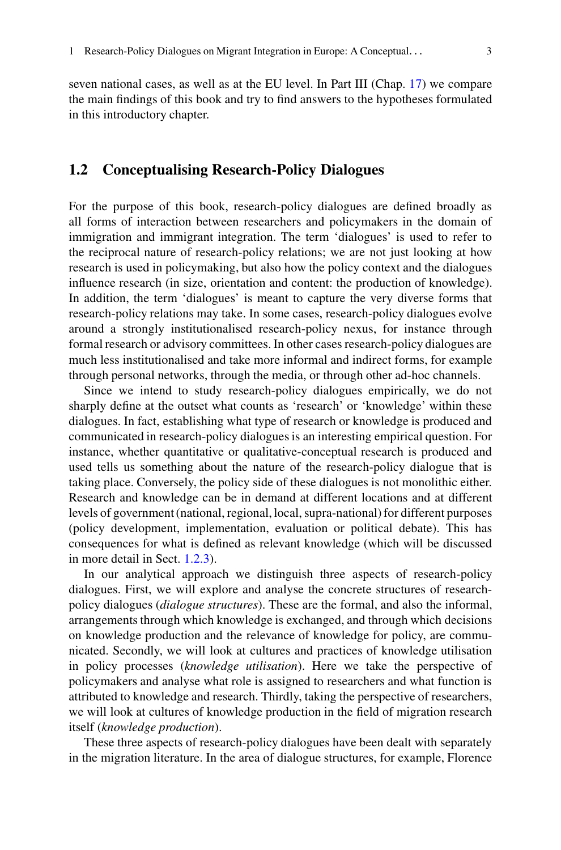seven national cases, as well as at the EU level. In Part III (Chap. [17\)](http://dx.doi.org/10.1007/978-3-319-16256-0_17) we compare the main findings of this book and try to find answers to the hypotheses formulated in this introductory chapter.

#### **1.2 Conceptualising Research-Policy Dialogues**

For the purpose of this book, research-policy dialogues are defined broadly as all forms of interaction between researchers and policymakers in the domain of immigration and immigrant integration. The term 'dialogues' is used to refer to the reciprocal nature of research-policy relations; we are not just looking at how research is used in policymaking, but also how the policy context and the dialogues influence research (in size, orientation and content: the production of knowledge). In addition, the term 'dialogues' is meant to capture the very diverse forms that research-policy relations may take. In some cases, research-policy dialogues evolve around a strongly institutionalised research-policy nexus, for instance through formal research or advisory committees. In other cases research-policy dialogues are much less institutionalised and take more informal and indirect forms, for example through personal networks, through the media, or through other ad-hoc channels.

Since we intend to study research-policy dialogues empirically, we do not sharply define at the outset what counts as 'research' or 'knowledge' within these dialogues. In fact, establishing what type of research or knowledge is produced and communicated in research-policy dialogues is an interesting empirical question. For instance, whether quantitative or qualitative-conceptual research is produced and used tells us something about the nature of the research-policy dialogue that is taking place. Conversely, the policy side of these dialogues is not monolithic either. Research and knowledge can be in demand at different locations and at different levels of government (national, regional, local, supra-national) for different purposes (policy development, implementation, evaluation or political debate). This has consequences for what is defined as relevant knowledge (which will be discussed in more detail in Sect. [1.2.3\)](#page-7-0).

In our analytical approach we distinguish three aspects of research-policy dialogues. First, we will explore and analyse the concrete structures of researchpolicy dialogues (*dialogue structures*). These are the formal, and also the informal, arrangements through which knowledge is exchanged, and through which decisions on knowledge production and the relevance of knowledge for policy, are communicated. Secondly, we will look at cultures and practices of knowledge utilisation in policy processes (*knowledge utilisation*). Here we take the perspective of policymakers and analyse what role is assigned to researchers and what function is attributed to knowledge and research. Thirdly, taking the perspective of researchers, we will look at cultures of knowledge production in the field of migration research itself (*knowledge production*).

These three aspects of research-policy dialogues have been dealt with separately in the migration literature. In the area of dialogue structures, for example, Florence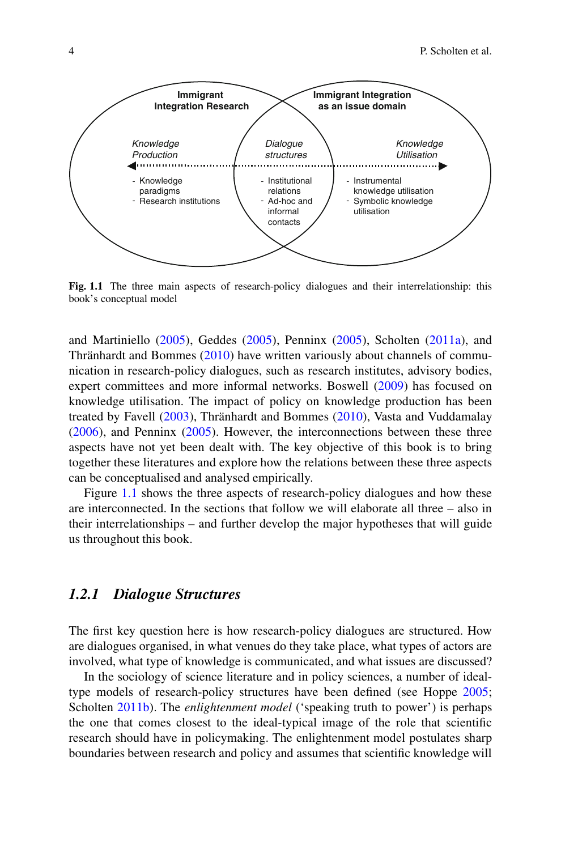

<span id="page-4-0"></span>**Fig. 1.1** The three main aspects of research-policy dialogues and their interrelationship: this book's conceptual model

and Martiniello [\(2005\)](#page-15-3), Geddes [\(2005\)](#page-15-4), Penninx [\(2005\)](#page-16-5), Scholten [\(2011a\)](#page-16-6), and Thränhardt and Bommes [\(2010\)](#page-16-7) have written variously about channels of communication in research-policy dialogues, such as research institutes, advisory bodies, expert committees and more informal networks. Boswell [\(2009\)](#page-15-0) has focused on knowledge utilisation. The impact of policy on knowledge production has been treated by Favell [\(2003\)](#page-15-1), Thränhardt and Bommes [\(2010\)](#page-16-7), Vasta and Vuddamalay [\(2006\)](#page-16-8), and Penninx [\(2005\)](#page-16-5). However, the interconnections between these three aspects have not yet been dealt with. The key objective of this book is to bring together these literatures and explore how the relations between these three aspects can be conceptualised and analysed empirically.

Figure [1.1](#page-4-0) shows the three aspects of research-policy dialogues and how these are interconnected. In the sections that follow we will elaborate all three – also in their interrelationships – and further develop the major hypotheses that will guide us throughout this book.

#### *1.2.1 Dialogue Structures*

The first key question here is how research-policy dialogues are structured. How are dialogues organised, in what venues do they take place, what types of actors are involved, what type of knowledge is communicated, and what issues are discussed?

In the sociology of science literature and in policy sciences, a number of idealtype models of research-policy structures have been defined (see Hoppe [2005;](#page-15-5) Scholten [2011b\)](#page-16-9). The *enlightenment model* ('speaking truth to power') is perhaps the one that comes closest to the ideal-typical image of the role that scientific research should have in policymaking. The enlightenment model postulates sharp boundaries between research and policy and assumes that scientific knowledge will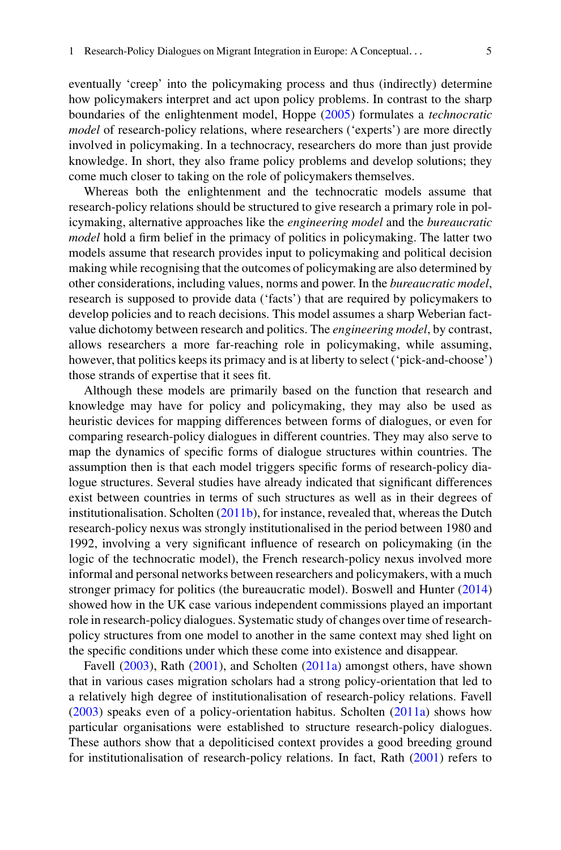eventually 'creep' into the policymaking process and thus (indirectly) determine how policymakers interpret and act upon policy problems. In contrast to the sharp boundaries of the enlightenment model, Hoppe [\(2005\)](#page-15-5) formulates a *technocratic model* of research-policy relations, where researchers ('experts') are more directly involved in policymaking. In a technocracy, researchers do more than just provide knowledge. In short, they also frame policy problems and develop solutions; they come much closer to taking on the role of policymakers themselves.

Whereas both the enlightenment and the technocratic models assume that research-policy relations should be structured to give research a primary role in policymaking, alternative approaches like the *engineering model* and the *bureaucratic model* hold a firm belief in the primacy of politics in policymaking. The latter two models assume that research provides input to policymaking and political decision making while recognising that the outcomes of policymaking are also determined by other considerations, including values, norms and power. In the *bureaucratic model*, research is supposed to provide data ('facts') that are required by policymakers to develop policies and to reach decisions. This model assumes a sharp Weberian factvalue dichotomy between research and politics. The *engineering model*, by contrast, allows researchers a more far-reaching role in policymaking, while assuming, however, that politics keeps its primacy and is at liberty to select ('pick-and-choose') those strands of expertise that it sees fit.

Although these models are primarily based on the function that research and knowledge may have for policy and policymaking, they may also be used as heuristic devices for mapping differences between forms of dialogues, or even for comparing research-policy dialogues in different countries. They may also serve to map the dynamics of specific forms of dialogue structures within countries. The assumption then is that each model triggers specific forms of research-policy dialogue structures. Several studies have already indicated that significant differences exist between countries in terms of such structures as well as in their degrees of institutionalisation. Scholten [\(2011b\)](#page-16-9), for instance, revealed that, whereas the Dutch research-policy nexus was strongly institutionalised in the period between 1980 and 1992, involving a very significant influence of research on policymaking (in the logic of the technocratic model), the French research-policy nexus involved more informal and personal networks between researchers and policymakers, with a much stronger primacy for politics (the bureaucratic model). Boswell and Hunter [\(2014\)](#page-15-6) showed how in the UK case various independent commissions played an important role in research-policy dialogues. Systematic study of changes over time of researchpolicy structures from one model to another in the same context may shed light on the specific conditions under which these come into existence and disappear.

Favell [\(2003\)](#page-15-1), Rath [\(2001\)](#page-16-10), and Scholten [\(2011a\)](#page-16-6) amongst others, have shown that in various cases migration scholars had a strong policy-orientation that led to a relatively high degree of institutionalisation of research-policy relations. Favell [\(2003\)](#page-15-1) speaks even of a policy-orientation habitus. Scholten [\(2011a\)](#page-16-6) shows how particular organisations were established to structure research-policy dialogues. These authors show that a depoliticised context provides a good breeding ground for institutionalisation of research-policy relations. In fact, Rath [\(2001\)](#page-16-10) refers to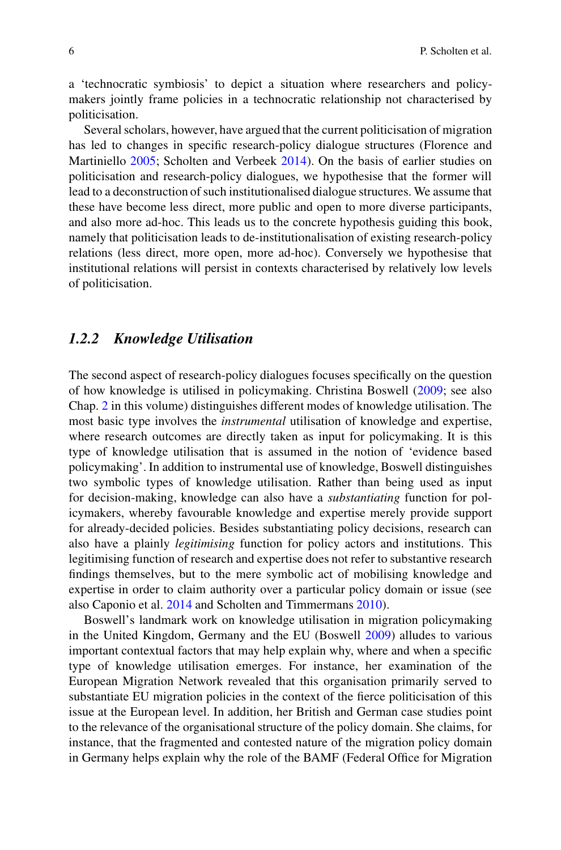a 'technocratic symbiosis' to depict a situation where researchers and policymakers jointly frame policies in a technocratic relationship not characterised by politicisation.

Several scholars, however, have argued that the current politicisation of migration has led to changes in specific research-policy dialogue structures (Florence and Martiniello [2005;](#page-15-3) Scholten and Verbeek [2014\)](#page-16-2). On the basis of earlier studies on politicisation and research-policy dialogues, we hypothesise that the former will lead to a deconstruction of such institutionalised dialogue structures. We assume that these have become less direct, more public and open to more diverse participants, and also more ad-hoc. This leads us to the concrete hypothesis guiding this book, namely that politicisation leads to de-institutionalisation of existing research-policy relations (less direct, more open, more ad-hoc). Conversely we hypothesise that institutional relations will persist in contexts characterised by relatively low levels of politicisation.

#### *1.2.2 Knowledge Utilisation*

The second aspect of research-policy dialogues focuses specifically on the question of how knowledge is utilised in policymaking. Christina Boswell [\(2009;](#page-15-0) see also Chap. [2](http://dx.doi.org/10.1007/978-3-319-16256-0_2) in this volume) distinguishes different modes of knowledge utilisation. The most basic type involves the *instrumental* utilisation of knowledge and expertise, where research outcomes are directly taken as input for policymaking. It is this type of knowledge utilisation that is assumed in the notion of 'evidence based policymaking'. In addition to instrumental use of knowledge, Boswell distinguishes two symbolic types of knowledge utilisation. Rather than being used as input for decision-making, knowledge can also have a *substantiating* function for policymakers, whereby favourable knowledge and expertise merely provide support for already-decided policies. Besides substantiating policy decisions, research can also have a plainly *legitimising* function for policy actors and institutions. This legitimising function of research and expertise does not refer to substantive research findings themselves, but to the mere symbolic act of mobilising knowledge and expertise in order to claim authority over a particular policy domain or issue (see also Caponio et al. [2014](#page-15-7) and Scholten and Timmermans [2010\)](#page-16-11).

Boswell's landmark work on knowledge utilisation in migration policymaking in the United Kingdom, Germany and the EU (Boswell [2009\)](#page-15-0) alludes to various important contextual factors that may help explain why, where and when a specific type of knowledge utilisation emerges. For instance, her examination of the European Migration Network revealed that this organisation primarily served to substantiate EU migration policies in the context of the fierce politicisation of this issue at the European level. In addition, her British and German case studies point to the relevance of the organisational structure of the policy domain. She claims, for instance, that the fragmented and contested nature of the migration policy domain in Germany helps explain why the role of the BAMF (Federal Office for Migration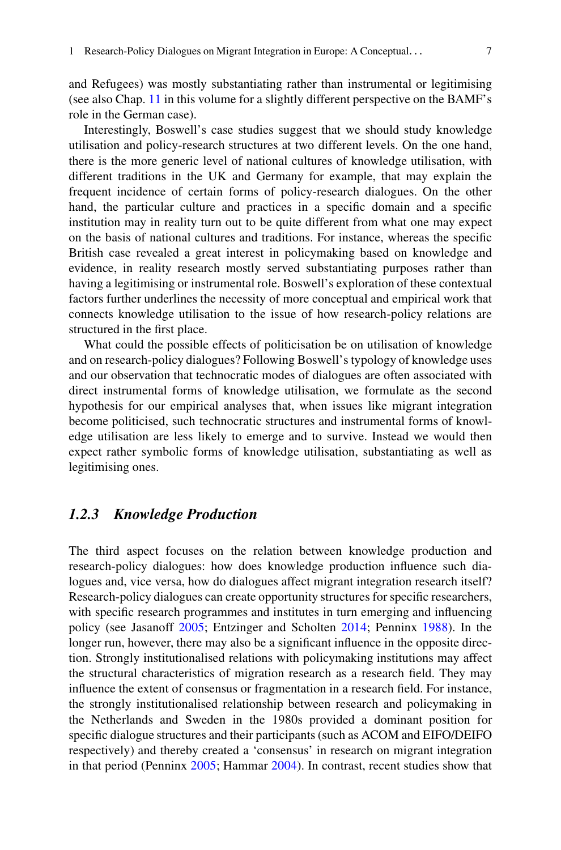and Refugees) was mostly substantiating rather than instrumental or legitimising (see also Chap. [11](http://dx.doi.org/10.1007/978-3-319-16256-0_11) in this volume for a slightly different perspective on the BAMF's role in the German case).

Interestingly, Boswell's case studies suggest that we should study knowledge utilisation and policy-research structures at two different levels. On the one hand, there is the more generic level of national cultures of knowledge utilisation, with different traditions in the UK and Germany for example, that may explain the frequent incidence of certain forms of policy-research dialogues. On the other hand, the particular culture and practices in a specific domain and a specific institution may in reality turn out to be quite different from what one may expect on the basis of national cultures and traditions. For instance, whereas the specific British case revealed a great interest in policymaking based on knowledge and evidence, in reality research mostly served substantiating purposes rather than having a legitimising or instrumental role. Boswell's exploration of these contextual factors further underlines the necessity of more conceptual and empirical work that connects knowledge utilisation to the issue of how research-policy relations are structured in the first place.

What could the possible effects of politicisation be on utilisation of knowledge and on research-policy dialogues? Following Boswell's typology of knowledge uses and our observation that technocratic modes of dialogues are often associated with direct instrumental forms of knowledge utilisation, we formulate as the second hypothesis for our empirical analyses that, when issues like migrant integration become politicised, such technocratic structures and instrumental forms of knowledge utilisation are less likely to emerge and to survive. Instead we would then expect rather symbolic forms of knowledge utilisation, substantiating as well as legitimising ones.

#### <span id="page-7-0"></span>*1.2.3 Knowledge Production*

The third aspect focuses on the relation between knowledge production and research-policy dialogues: how does knowledge production influence such dialogues and, vice versa, how do dialogues affect migrant integration research itself? Research-policy dialogues can create opportunity structures for specific researchers, with specific research programmes and institutes in turn emerging and influencing policy (see Jasanoff [2005;](#page-15-8) Entzinger and Scholten [2014;](#page-15-9) Penninx [1988\)](#page-16-12). In the longer run, however, there may also be a significant influence in the opposite direction. Strongly institutionalised relations with policymaking institutions may affect the structural characteristics of migration research as a research field. They may influence the extent of consensus or fragmentation in a research field. For instance, the strongly institutionalised relationship between research and policymaking in the Netherlands and Sweden in the 1980s provided a dominant position for specific dialogue structures and their participants (such as ACOM and EIFO/DEIFO respectively) and thereby created a 'consensus' in research on migrant integration in that period (Penninx [2005;](#page-16-5) Hammar [2004\)](#page-15-10). In contrast, recent studies show that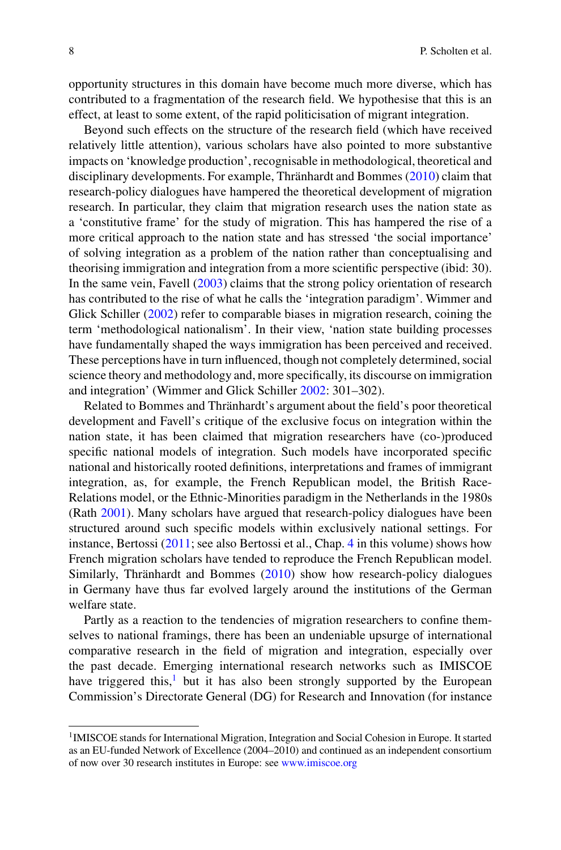opportunity structures in this domain have become much more diverse, which has contributed to a fragmentation of the research field. We hypothesise that this is an effect, at least to some extent, of the rapid politicisation of migrant integration.

Beyond such effects on the structure of the research field (which have received relatively little attention), various scholars have also pointed to more substantive impacts on 'knowledge production', recognisable in methodological, theoretical and disciplinary developments. For example, Thränhardt and Bommes [\(2010\)](#page-16-7) claim that research-policy dialogues have hampered the theoretical development of migration research. In particular, they claim that migration research uses the nation state as a 'constitutive frame' for the study of migration. This has hampered the rise of a more critical approach to the nation state and has stressed 'the social importance' of solving integration as a problem of the nation rather than conceptualising and theorising immigration and integration from a more scientific perspective (ibid: 30). In the same vein, Favell  $(2003)$  claims that the strong policy orientation of research has contributed to the rise of what he calls the 'integration paradigm'. Wimmer and Glick Schiller [\(2002\)](#page-16-3) refer to comparable biases in migration research, coining the term 'methodological nationalism'. In their view, 'nation state building processes have fundamentally shaped the ways immigration has been perceived and received. These perceptions have in turn influenced, though not completely determined, social science theory and methodology and, more specifically, its discourse on immigration and integration' (Wimmer and Glick Schiller [2002:](#page-16-3) 301–302).

Related to Bommes and Thränhardt's argument about the field's poor theoretical development and Favell's critique of the exclusive focus on integration within the nation state, it has been claimed that migration researchers have (co-)produced specific national models of integration. Such models have incorporated specific national and historically rooted definitions, interpretations and frames of immigrant integration, as, for example, the French Republican model, the British Race-Relations model, or the Ethnic-Minorities paradigm in the Netherlands in the 1980s (Rath [2001\)](#page-16-10). Many scholars have argued that research-policy dialogues have been structured around such specific models within exclusively national settings. For instance, Bertossi [\(2011;](#page-15-11) see also Bertossi et al., Chap. [4](http://dx.doi.org/10.1007/978-3-319-16256-0_4) in this volume) shows how French migration scholars have tended to reproduce the French Republican model. Similarly, Thränhardt and Bommes [\(2010\)](#page-16-7) show how research-policy dialogues in Germany have thus far evolved largely around the institutions of the German welfare state.

Partly as a reaction to the tendencies of migration researchers to confine themselves to national framings, there has been an undeniable upsurge of international comparative research in the field of migration and integration, especially over the past decade. Emerging international research networks such as IMISCOE have triggered this, $\frac{1}{x}$  $\frac{1}{x}$  $\frac{1}{x}$  but it has also been strongly supported by the European Commission's Directorate General (DG) for Research and Innovation (for instance

<span id="page-8-0"></span><sup>&</sup>lt;sup>1</sup> IMISCOE stands for International Migration, Integration and Social Cohesion in Europe. It started as an EU-funded Network of Excellence (2004–2010) and continued as an independent consortium of now over 30 research institutes in Europe: see <www.imiscoe.org>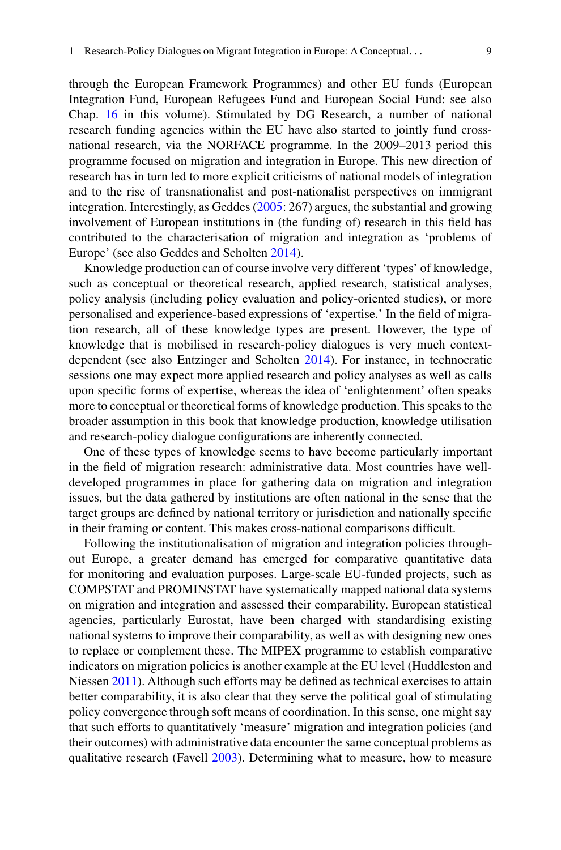through the European Framework Programmes) and other EU funds (European Integration Fund, European Refugees Fund and European Social Fund: see also Chap. [16](http://dx.doi.org/10.1007/978-3-319-16256-0_16) in this volume). Stimulated by DG Research, a number of national research funding agencies within the EU have also started to jointly fund crossnational research, via the NORFACE programme. In the 2009–2013 period this programme focused on migration and integration in Europe. This new direction of research has in turn led to more explicit criticisms of national models of integration and to the rise of transnationalist and post-nationalist perspectives on immigrant integration. Interestingly, as Geddes [\(2005:](#page-15-4) 267) argues, the substantial and growing involvement of European institutions in (the funding of) research in this field has contributed to the characterisation of migration and integration as 'problems of Europe' (see also Geddes and Scholten [2014\)](#page-15-12).

Knowledge production can of course involve very different 'types' of knowledge, such as conceptual or theoretical research, applied research, statistical analyses, policy analysis (including policy evaluation and policy-oriented studies), or more personalised and experience-based expressions of 'expertise.' In the field of migration research, all of these knowledge types are present. However, the type of knowledge that is mobilised in research-policy dialogues is very much contextdependent (see also Entzinger and Scholten [2014\)](#page-15-9). For instance, in technocratic sessions one may expect more applied research and policy analyses as well as calls upon specific forms of expertise, whereas the idea of 'enlightenment' often speaks more to conceptual or theoretical forms of knowledge production. This speaks to the broader assumption in this book that knowledge production, knowledge utilisation and research-policy dialogue configurations are inherently connected.

One of these types of knowledge seems to have become particularly important in the field of migration research: administrative data. Most countries have welldeveloped programmes in place for gathering data on migration and integration issues, but the data gathered by institutions are often national in the sense that the target groups are defined by national territory or jurisdiction and nationally specific in their framing or content. This makes cross-national comparisons difficult.

Following the institutionalisation of migration and integration policies throughout Europe, a greater demand has emerged for comparative quantitative data for monitoring and evaluation purposes. Large-scale EU-funded projects, such as COMPSTAT and PROMINSTAT have systematically mapped national data systems on migration and integration and assessed their comparability. European statistical agencies, particularly Eurostat, have been charged with standardising existing national systems to improve their comparability, as well as with designing new ones to replace or complement these. The MIPEX programme to establish comparative indicators on migration policies is another example at the EU level (Huddleston and Niessen [2011\)](#page-15-13). Although such efforts may be defined as technical exercises to attain better comparability, it is also clear that they serve the political goal of stimulating policy convergence through soft means of coordination. In this sense, one might say that such efforts to quantitatively 'measure' migration and integration policies (and their outcomes) with administrative data encounter the same conceptual problems as qualitative research (Favell [2003\)](#page-15-1). Determining what to measure, how to measure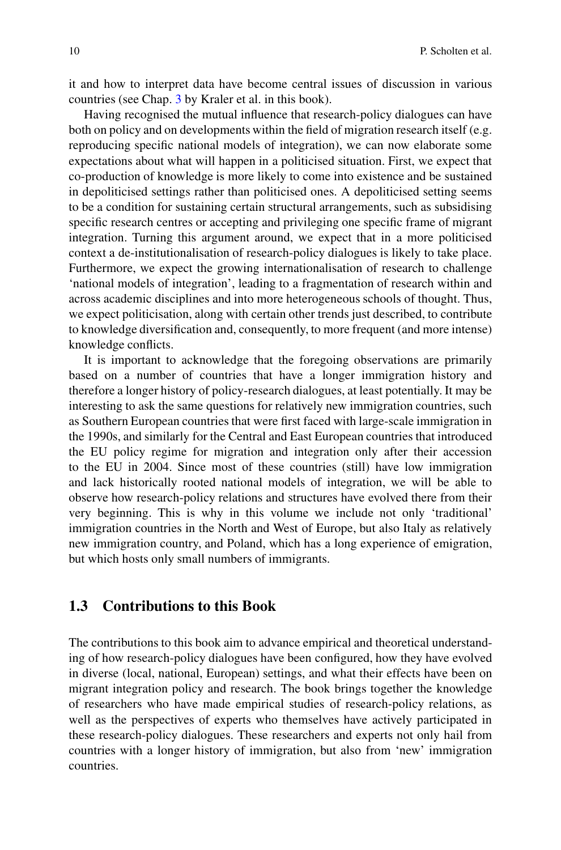it and how to interpret data have become central issues of discussion in various countries (see Chap. [3](http://dx.doi.org/10.1007/978-3-319-16256-0_3) by Kraler et al. in this book).

Having recognised the mutual influence that research-policy dialogues can have both on policy and on developments within the field of migration research itself (e.g. reproducing specific national models of integration), we can now elaborate some expectations about what will happen in a politicised situation. First, we expect that co-production of knowledge is more likely to come into existence and be sustained in depoliticised settings rather than politicised ones. A depoliticised setting seems to be a condition for sustaining certain structural arrangements, such as subsidising specific research centres or accepting and privileging one specific frame of migrant integration. Turning this argument around, we expect that in a more politicised context a de-institutionalisation of research-policy dialogues is likely to take place. Furthermore, we expect the growing internationalisation of research to challenge 'national models of integration', leading to a fragmentation of research within and across academic disciplines and into more heterogeneous schools of thought. Thus, we expect politicisation, along with certain other trends just described, to contribute to knowledge diversification and, consequently, to more frequent (and more intense) knowledge conflicts.

It is important to acknowledge that the foregoing observations are primarily based on a number of countries that have a longer immigration history and therefore a longer history of policy-research dialogues, at least potentially. It may be interesting to ask the same questions for relatively new immigration countries, such as Southern European countries that were first faced with large-scale immigration in the 1990s, and similarly for the Central and East European countries that introduced the EU policy regime for migration and integration only after their accession to the EU in 2004. Since most of these countries (still) have low immigration and lack historically rooted national models of integration, we will be able to observe how research-policy relations and structures have evolved there from their very beginning. This is why in this volume we include not only 'traditional' immigration countries in the North and West of Europe, but also Italy as relatively new immigration country, and Poland, which has a long experience of emigration, but which hosts only small numbers of immigrants.

#### **1.3 Contributions to this Book**

The contributions to this book aim to advance empirical and theoretical understanding of how research-policy dialogues have been configured, how they have evolved in diverse (local, national, European) settings, and what their effects have been on migrant integration policy and research. The book brings together the knowledge of researchers who have made empirical studies of research-policy relations, as well as the perspectives of experts who themselves have actively participated in these research-policy dialogues. These researchers and experts not only hail from countries with a longer history of immigration, but also from 'new' immigration countries.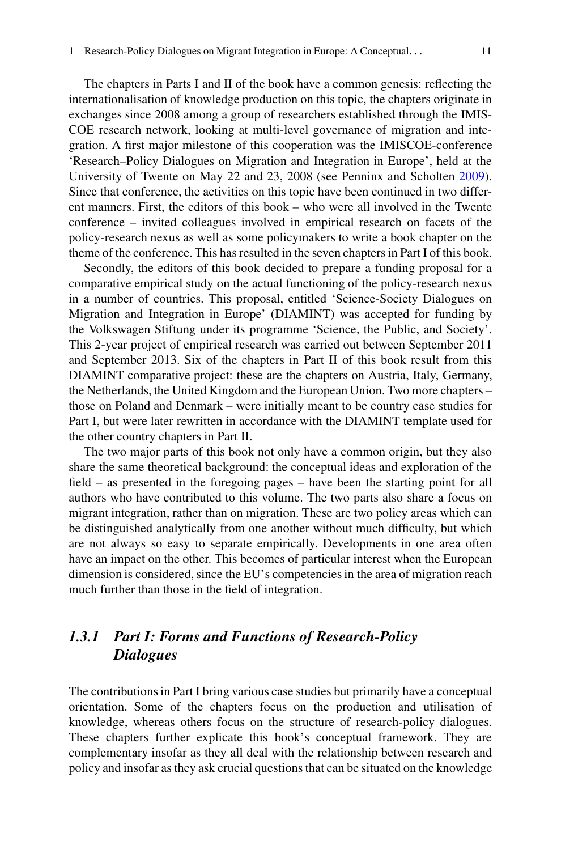The chapters in Parts I and II of the book have a common genesis: reflecting the internationalisation of knowledge production on this topic, the chapters originate in exchanges since 2008 among a group of researchers established through the IMIS-COE research network, looking at multi-level governance of migration and integration. A first major milestone of this cooperation was the IMISCOE-conference 'Research–Policy Dialogues on Migration and Integration in Europe', held at the University of Twente on May 22 and 23, 2008 (see Penninx and Scholten [2009\)](#page-16-13). Since that conference, the activities on this topic have been continued in two different manners. First, the editors of this book – who were all involved in the Twente conference – invited colleagues involved in empirical research on facets of the policy-research nexus as well as some policymakers to write a book chapter on the theme of the conference. This has resulted in the seven chapters in Part I of this book.

Secondly, the editors of this book decided to prepare a funding proposal for a comparative empirical study on the actual functioning of the policy-research nexus in a number of countries. This proposal, entitled 'Science-Society Dialogues on Migration and Integration in Europe' (DIAMINT) was accepted for funding by the Volkswagen Stiftung under its programme 'Science, the Public, and Society'. This 2-year project of empirical research was carried out between September 2011 and September 2013. Six of the chapters in Part II of this book result from this DIAMINT comparative project: these are the chapters on Austria, Italy, Germany, the Netherlands, the United Kingdom and the European Union. Two more chapters – those on Poland and Denmark – were initially meant to be country case studies for Part I, but were later rewritten in accordance with the DIAMINT template used for the other country chapters in Part II.

The two major parts of this book not only have a common origin, but they also share the same theoretical background: the conceptual ideas and exploration of the field – as presented in the foregoing pages – have been the starting point for all authors who have contributed to this volume. The two parts also share a focus on migrant integration, rather than on migration. These are two policy areas which can be distinguished analytically from one another without much difficulty, but which are not always so easy to separate empirically. Developments in one area often have an impact on the other. This becomes of particular interest when the European dimension is considered, since the EU's competencies in the area of migration reach much further than those in the field of integration.

## *1.3.1 Part I: Forms and Functions of Research-Policy Dialogues*

The contributions in Part I bring various case studies but primarily have a conceptual orientation. Some of the chapters focus on the production and utilisation of knowledge, whereas others focus on the structure of research-policy dialogues. These chapters further explicate this book's conceptual framework. They are complementary insofar as they all deal with the relationship between research and policy and insofar as they ask crucial questions that can be situated on the knowledge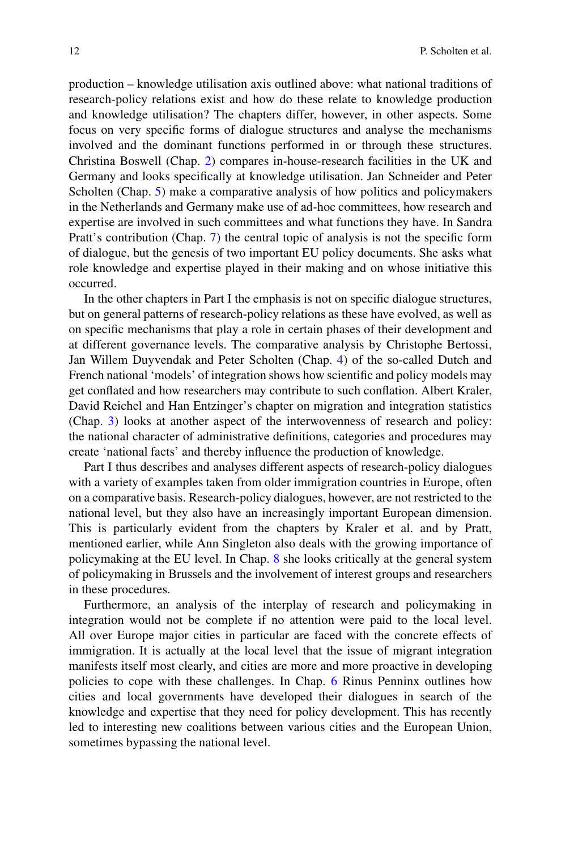production – knowledge utilisation axis outlined above: what national traditions of research-policy relations exist and how do these relate to knowledge production and knowledge utilisation? The chapters differ, however, in other aspects. Some focus on very specific forms of dialogue structures and analyse the mechanisms involved and the dominant functions performed in or through these structures. Christina Boswell (Chap. [2\)](http://dx.doi.org/10.1007/978-3-319-16256-0_2) compares in-house-research facilities in the UK and Germany and looks specifically at knowledge utilisation. Jan Schneider and Peter Scholten (Chap. [5\)](http://dx.doi.org/10.1007/978-3-319-16256-0_5) make a comparative analysis of how politics and policymakers in the Netherlands and Germany make use of ad-hoc committees, how research and expertise are involved in such committees and what functions they have. In Sandra Pratt's contribution (Chap. [7\)](http://dx.doi.org/10.1007/978-3-319-16256-0_7) the central topic of analysis is not the specific form of dialogue, but the genesis of two important EU policy documents. She asks what role knowledge and expertise played in their making and on whose initiative this occurred.

In the other chapters in Part I the emphasis is not on specific dialogue structures, but on general patterns of research-policy relations as these have evolved, as well as on specific mechanisms that play a role in certain phases of their development and at different governance levels. The comparative analysis by Christophe Bertossi, Jan Willem Duyvendak and Peter Scholten (Chap. [4\)](http://dx.doi.org/10.1007/978-3-319-16256-0_4) of the so-called Dutch and French national 'models' of integration shows how scientific and policy models may get conflated and how researchers may contribute to such conflation. Albert Kraler, David Reichel and Han Entzinger's chapter on migration and integration statistics (Chap. [3\)](http://dx.doi.org/10.1007/978-3-319-16256-0_3) looks at another aspect of the interwovenness of research and policy: the national character of administrative definitions, categories and procedures may create 'national facts' and thereby influence the production of knowledge.

Part I thus describes and analyses different aspects of research-policy dialogues with a variety of examples taken from older immigration countries in Europe, often on a comparative basis. Research-policy dialogues, however, are not restricted to the national level, but they also have an increasingly important European dimension. This is particularly evident from the chapters by Kraler et al. and by Pratt, mentioned earlier, while Ann Singleton also deals with the growing importance of policymaking at the EU level. In Chap. [8](http://dx.doi.org/10.1007/978-3-319-16256-0_8) she looks critically at the general system of policymaking in Brussels and the involvement of interest groups and researchers in these procedures.

Furthermore, an analysis of the interplay of research and policymaking in integration would not be complete if no attention were paid to the local level. All over Europe major cities in particular are faced with the concrete effects of immigration. It is actually at the local level that the issue of migrant integration manifests itself most clearly, and cities are more and more proactive in developing policies to cope with these challenges. In Chap. [6](http://dx.doi.org/10.1007/978-3-319-16256-0_6) Rinus Penninx outlines how cities and local governments have developed their dialogues in search of the knowledge and expertise that they need for policy development. This has recently led to interesting new coalitions between various cities and the European Union, sometimes bypassing the national level.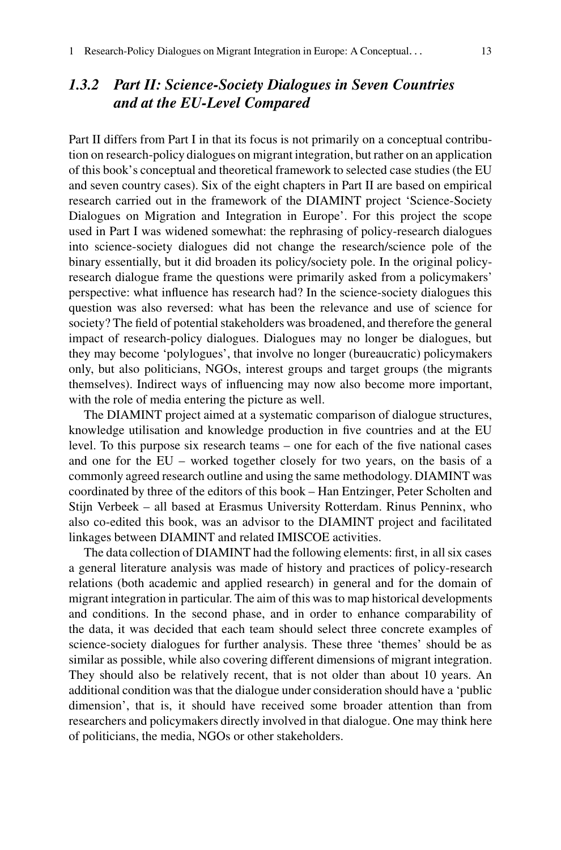## *1.3.2 Part II: Science-Society Dialogues in Seven Countries and at the EU-Level Compared*

Part II differs from Part I in that its focus is not primarily on a conceptual contribution on research-policy dialogues on migrant integration, but rather on an application of this book's conceptual and theoretical framework to selected case studies (the EU and seven country cases). Six of the eight chapters in Part II are based on empirical research carried out in the framework of the DIAMINT project 'Science-Society Dialogues on Migration and Integration in Europe'. For this project the scope used in Part I was widened somewhat: the rephrasing of policy-research dialogues into science-society dialogues did not change the research/science pole of the binary essentially, but it did broaden its policy/society pole. In the original policyresearch dialogue frame the questions were primarily asked from a policymakers' perspective: what influence has research had? In the science-society dialogues this question was also reversed: what has been the relevance and use of science for society? The field of potential stakeholders was broadened, and therefore the general impact of research-policy dialogues. Dialogues may no longer be dialogues, but they may become 'polylogues', that involve no longer (bureaucratic) policymakers only, but also politicians, NGOs, interest groups and target groups (the migrants themselves). Indirect ways of influencing may now also become more important, with the role of media entering the picture as well.

The DIAMINT project aimed at a systematic comparison of dialogue structures, knowledge utilisation and knowledge production in five countries and at the EU level. To this purpose six research teams – one for each of the five national cases and one for the EU – worked together closely for two years, on the basis of a commonly agreed research outline and using the same methodology. DIAMINT was coordinated by three of the editors of this book – Han Entzinger, Peter Scholten and Stijn Verbeek – all based at Erasmus University Rotterdam. Rinus Penninx, who also co-edited this book, was an advisor to the DIAMINT project and facilitated linkages between DIAMINT and related IMISCOE activities.

The data collection of DIAMINT had the following elements: first, in all six cases a general literature analysis was made of history and practices of policy-research relations (both academic and applied research) in general and for the domain of migrant integration in particular. The aim of this was to map historical developments and conditions. In the second phase, and in order to enhance comparability of the data, it was decided that each team should select three concrete examples of science-society dialogues for further analysis. These three 'themes' should be as similar as possible, while also covering different dimensions of migrant integration. They should also be relatively recent, that is not older than about 10 years. An additional condition was that the dialogue under consideration should have a 'public dimension', that is, it should have received some broader attention than from researchers and policymakers directly involved in that dialogue. One may think here of politicians, the media, NGOs or other stakeholders.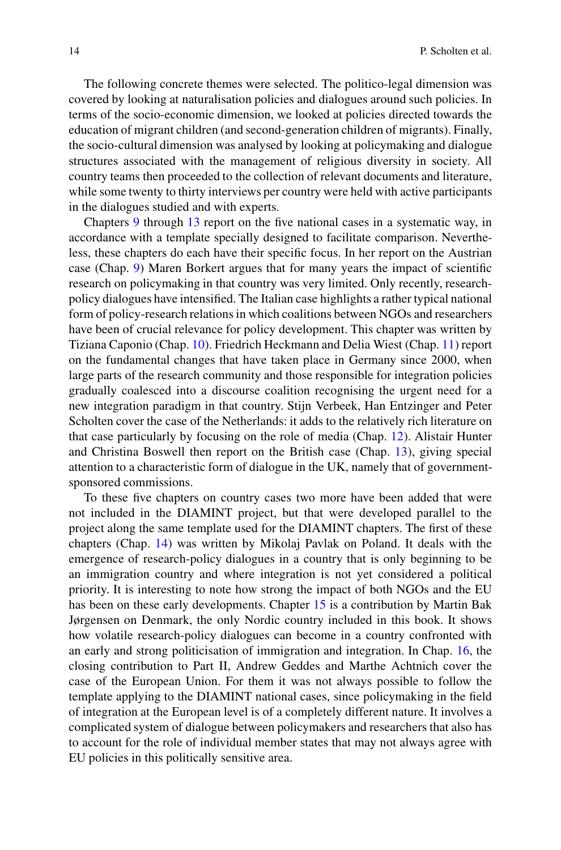The following concrete themes were selected. The politico-legal dimension was covered by looking at naturalisation policies and dialogues around such policies. In terms of the socio-economic dimension, we looked at policies directed towards the education of migrant children (and second-generation children of migrants). Finally, the socio-cultural dimension was analysed by looking at policymaking and dialogue structures associated with the management of religious diversity in society. All country teams then proceeded to the collection of relevant documents and literature, while some twenty to thirty interviews per country were held with active participants in the dialogues studied and with experts.

Chapters [9](http://dx.doi.org/10.1007/978-3-319-16256-0_9) through [13](http://dx.doi.org/10.1007/978-3-319-16256-0_13) report on the five national cases in a systematic way, in accordance with a template specially designed to facilitate comparison. Nevertheless, these chapters do each have their specific focus. In her report on the Austrian case (Chap. [9\)](http://dx.doi.org/10.1007/978-3-319-16256-0_9) Maren Borkert argues that for many years the impact of scientific research on policymaking in that country was very limited. Only recently, researchpolicy dialogues have intensified. The Italian case highlights a rather typical national form of policy-research relations in which coalitions between NGOs and researchers have been of crucial relevance for policy development. This chapter was written by Tiziana Caponio (Chap. [10\)](http://dx.doi.org/10.1007/978-3-319-16256-0_10). Friedrich Heckmann and Delia Wiest (Chap. [11\)](http://dx.doi.org/10.1007/978-3-319-16256-0_11) report on the fundamental changes that have taken place in Germany since 2000, when large parts of the research community and those responsible for integration policies gradually coalesced into a discourse coalition recognising the urgent need for a new integration paradigm in that country. Stijn Verbeek, Han Entzinger and Peter Scholten cover the case of the Netherlands: it adds to the relatively rich literature on that case particularly by focusing on the role of media (Chap. [12\)](http://dx.doi.org/10.1007/978-3-319-16256-0_12). Alistair Hunter and Christina Boswell then report on the British case (Chap. [13\)](http://dx.doi.org/10.1007/978-3-319-16256-0_13), giving special attention to a characteristic form of dialogue in the UK, namely that of governmentsponsored commissions.

To these five chapters on country cases two more have been added that were not included in the DIAMINT project, but that were developed parallel to the project along the same template used for the DIAMINT chapters. The first of these chapters (Chap. [14\)](http://dx.doi.org/10.1007/978-3-319-16256-0_14) was written by Mikolaj Pavlak on Poland. It deals with the emergence of research-policy dialogues in a country that is only beginning to be an immigration country and where integration is not yet considered a political priority. It is interesting to note how strong the impact of both NGOs and the EU has been on these early developments. Chapter [15](http://dx.doi.org/10.1007/978-3-319-16256-0_15) is a contribution by Martin Bak Jørgensen on Denmark, the only Nordic country included in this book. It shows how volatile research-policy dialogues can become in a country confronted with an early and strong politicisation of immigration and integration. In Chap. [16,](http://dx.doi.org/10.1007/978-3-319-16256-0_16) the closing contribution to Part II, Andrew Geddes and Marthe Achtnich cover the case of the European Union. For them it was not always possible to follow the template applying to the DIAMINT national cases, since policymaking in the field of integration at the European level is of a completely different nature. It involves a complicated system of dialogue between policymakers and researchers that also has to account for the role of individual member states that may not always agree with EU policies in this politically sensitive area.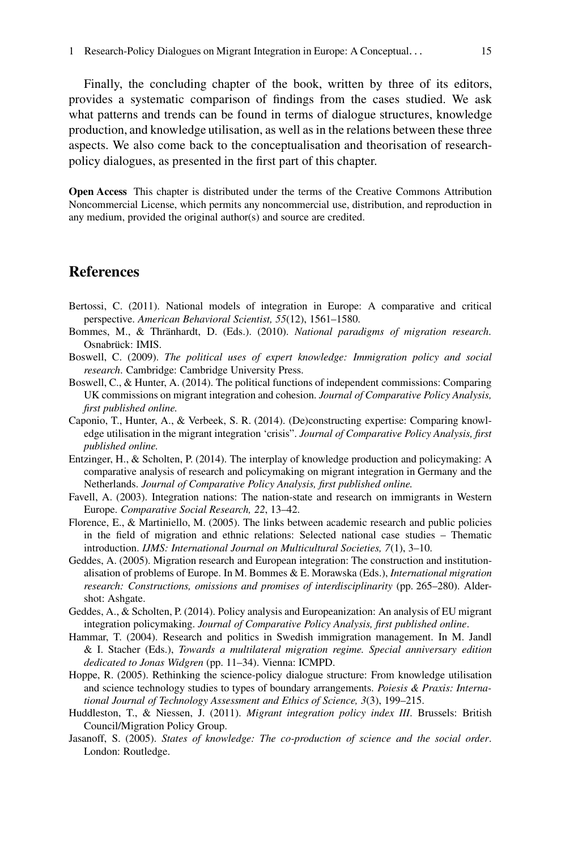Finally, the concluding chapter of the book, written by three of its editors, provides a systematic comparison of findings from the cases studied. We ask what patterns and trends can be found in terms of dialogue structures, knowledge production, and knowledge utilisation, as well as in the relations between these three aspects. We also come back to the conceptualisation and theorisation of researchpolicy dialogues, as presented in the first part of this chapter.

**Open Access** This chapter is distributed under the terms of the Creative Commons Attribution Noncommercial License, which permits any noncommercial use, distribution, and reproduction in any medium, provided the original author(s) and source are credited.

#### **References**

- <span id="page-15-11"></span>Bertossi, C. (2011). National models of integration in Europe: A comparative and critical perspective. *American Behavioral Scientist, 55*(12), 1561–1580.
- <span id="page-15-2"></span>Bommes, M., & Thränhardt, D. (Eds.). (2010). *National paradigms of migration research*. Osnabrück: IMIS.
- <span id="page-15-0"></span>Boswell, C. (2009). *The political uses of expert knowledge: Immigration policy and social research*. Cambridge: Cambridge University Press.
- <span id="page-15-6"></span>Boswell, C., & Hunter, A. (2014). The political functions of independent commissions: Comparing UK commissions on migrant integration and cohesion. *Journal of Comparative Policy Analysis, first published online.*
- <span id="page-15-7"></span>Caponio, T., Hunter, A., & Verbeek, S. R. (2014). (De)constructing expertise: Comparing knowledge utilisation in the migrant integration 'crisis". *Journal of Comparative Policy Analysis, first published online.*
- <span id="page-15-9"></span>Entzinger, H., & Scholten, P. (2014). The interplay of knowledge production and policymaking: A comparative analysis of research and policymaking on migrant integration in Germany and the Netherlands. *Journal of Comparative Policy Analysis, first published online.*
- <span id="page-15-1"></span>Favell, A. (2003). Integration nations: The nation-state and research on immigrants in Western Europe. *Comparative Social Research, 22*, 13–42.
- <span id="page-15-3"></span>Florence, E., & Martiniello, M. (2005). The links between academic research and public policies in the field of migration and ethnic relations: Selected national case studies – Thematic introduction. *IJMS: International Journal on Multicultural Societies, 7*(1), 3–10.
- <span id="page-15-4"></span>Geddes, A. (2005). Migration research and European integration: The construction and institutionalisation of problems of Europe. In M. Bommes & E. Morawska (Eds.), *International migration research: Constructions, omissions and promises of interdisciplinarity* (pp. 265–280). Aldershot: Ashgate.
- <span id="page-15-12"></span>Geddes, A., & Scholten, P. (2014). Policy analysis and Europeanization: An analysis of EU migrant integration policymaking. *Journal of Comparative Policy Analysis, first published online*.
- <span id="page-15-10"></span>Hammar, T. (2004). Research and politics in Swedish immigration management. In M. Jandl & I. Stacher (Eds.), *Towards a multilateral migration regime. Special anniversary edition dedicated to Jonas Widgren* (pp. 11–34). Vienna: ICMPD.
- <span id="page-15-5"></span>Hoppe, R. (2005). Rethinking the science-policy dialogue structure: From knowledge utilisation and science technology studies to types of boundary arrangements. *Poiesis & Praxis: International Journal of Technology Assessment and Ethics of Science, 3*(3), 199–215.
- <span id="page-15-13"></span>Huddleston, T., & Niessen, J. (2011). *Migrant integration policy index III*. Brussels: British Council/Migration Policy Group.
- <span id="page-15-8"></span>Jasanoff, S. (2005). *States of knowledge: The co-production of science and the social order*. London: Routledge.